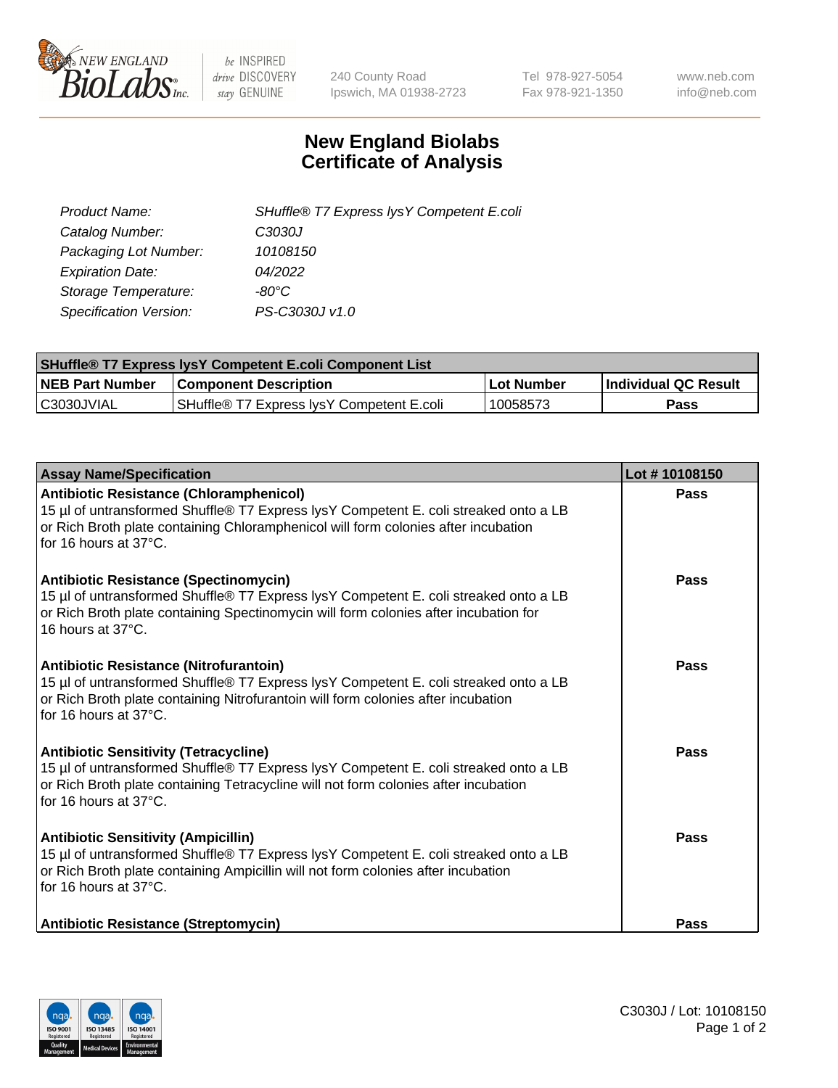

 $be$  INSPIRED drive DISCOVERY stay GENUINE

240 County Road Ipswich, MA 01938-2723 Tel 978-927-5054 Fax 978-921-1350 www.neb.com info@neb.com

## **New England Biolabs Certificate of Analysis**

| Product Name:                 | SHuffle® T7 Express lysY Competent E.coli |
|-------------------------------|-------------------------------------------|
| Catalog Number:               | C3030J                                    |
| Packaging Lot Number:         | 10108150                                  |
| <b>Expiration Date:</b>       | 04/2022                                   |
| Storage Temperature:          | -80°C                                     |
| <b>Specification Version:</b> | PS-C3030J v1.0                            |

| <b>SHuffle<sup>®</sup> T7 Express lysY Competent E.coli Component List</b> |                                           |              |                             |  |  |
|----------------------------------------------------------------------------|-------------------------------------------|--------------|-----------------------------|--|--|
| <b>NEB Part Number</b>                                                     | <b>Component Description</b>              | l Lot Number | <b>Individual QC Result</b> |  |  |
| C3030JVIAL                                                                 | SHuffle® T7 Express IvsY Competent E.coli | 10058573     | Pass                        |  |  |

| <b>Assay Name/Specification</b>                                                                                                                                                                                                                      | Lot #10108150 |
|------------------------------------------------------------------------------------------------------------------------------------------------------------------------------------------------------------------------------------------------------|---------------|
| Antibiotic Resistance (Chloramphenicol)<br>15 µl of untransformed Shuffle® T7 Express lysY Competent E. coli streaked onto a LB<br>or Rich Broth plate containing Chloramphenicol will form colonies after incubation<br>for 16 hours at 37°C.       | Pass          |
| <b>Antibiotic Resistance (Spectinomycin)</b><br>15 µl of untransformed Shuffle® T7 Express lysY Competent E. coli streaked onto a LB<br>or Rich Broth plate containing Spectinomycin will form colonies after incubation for<br>16 hours at 37°C.    | Pass          |
| <b>Antibiotic Resistance (Nitrofurantoin)</b><br>15 µl of untransformed Shuffle® T7 Express lysY Competent E. coli streaked onto a LB<br>or Rich Broth plate containing Nitrofurantoin will form colonies after incubation<br>for 16 hours at 37°C.  | Pass          |
| <b>Antibiotic Sensitivity (Tetracycline)</b><br>15 µl of untransformed Shuffle® T7 Express lysY Competent E. coli streaked onto a LB<br>or Rich Broth plate containing Tetracycline will not form colonies after incubation<br>for 16 hours at 37°C. | Pass          |
| <b>Antibiotic Sensitivity (Ampicillin)</b><br>15 µl of untransformed Shuffle® T7 Express lysY Competent E. coli streaked onto a LB<br>or Rich Broth plate containing Ampicillin will not form colonies after incubation<br>for 16 hours at 37°C.     | Pass          |
| <b>Antibiotic Resistance (Streptomycin)</b>                                                                                                                                                                                                          | Pass          |